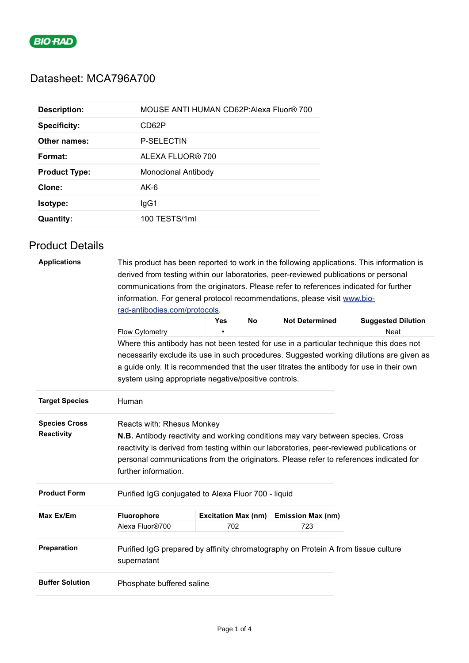

## Datasheet: MCA796A700

| <b>Description:</b>  | MOUSE ANTI HUMAN CD62P: Alexa Fluor® 700 |
|----------------------|------------------------------------------|
| <b>Specificity:</b>  | CD62P                                    |
| Other names:         | <b>P-SELECTIN</b>                        |
| Format:              | ALEXA FLUOR® 700                         |
| <b>Product Type:</b> | Monoclonal Antibody                      |
| Clone:               | $AK-6$                                   |
| Isotype:             | lgG1                                     |
| <b>Quantity:</b>     | 100 TESTS/1ml                            |

## Product Details

| <b>Applications</b><br>This product has been reported to work in the following applications. This information is |                                                                                           |                            |    |                          |                                                                                         |  |
|------------------------------------------------------------------------------------------------------------------|-------------------------------------------------------------------------------------------|----------------------------|----|--------------------------|-----------------------------------------------------------------------------------------|--|
|                                                                                                                  | derived from testing within our laboratories, peer-reviewed publications or personal      |                            |    |                          |                                                                                         |  |
|                                                                                                                  | communications from the originators. Please refer to references indicated for further     |                            |    |                          |                                                                                         |  |
|                                                                                                                  | information. For general protocol recommendations, please visit www.bio-                  |                            |    |                          |                                                                                         |  |
|                                                                                                                  | rad-antibodies.com/protocols.                                                             |                            |    |                          |                                                                                         |  |
|                                                                                                                  |                                                                                           | <b>Yes</b>                 | No | <b>Not Determined</b>    | <b>Suggested Dilution</b>                                                               |  |
|                                                                                                                  | Flow Cytometry                                                                            |                            |    |                          | <b>Neat</b>                                                                             |  |
|                                                                                                                  |                                                                                           |                            |    |                          | Where this antibody has not been tested for use in a particular technique this does not |  |
|                                                                                                                  | necessarily exclude its use in such procedures. Suggested working dilutions are given as  |                            |    |                          |                                                                                         |  |
|                                                                                                                  | a guide only. It is recommended that the user titrates the antibody for use in their own  |                            |    |                          |                                                                                         |  |
|                                                                                                                  | system using appropriate negative/positive controls.                                      |                            |    |                          |                                                                                         |  |
| <b>Target Species</b>                                                                                            | Human                                                                                     |                            |    |                          |                                                                                         |  |
| <b>Species Cross</b>                                                                                             | Reacts with: Rhesus Monkey                                                                |                            |    |                          |                                                                                         |  |
| Reactivity                                                                                                       | <b>N.B.</b> Antibody reactivity and working conditions may vary between species. Cross    |                            |    |                          |                                                                                         |  |
|                                                                                                                  | reactivity is derived from testing within our laboratories, peer-reviewed publications or |                            |    |                          |                                                                                         |  |
|                                                                                                                  | personal communications from the originators. Please refer to references indicated for    |                            |    |                          |                                                                                         |  |
|                                                                                                                  | further information.                                                                      |                            |    |                          |                                                                                         |  |
| <b>Product Form</b>                                                                                              | Purified IgG conjugated to Alexa Fluor 700 - liquid                                       |                            |    |                          |                                                                                         |  |
| Max Ex/Em                                                                                                        | Fluorophore                                                                               | <b>Excitation Max (nm)</b> |    | <b>Emission Max (nm)</b> |                                                                                         |  |
|                                                                                                                  | Alexa Fluor®700                                                                           | 702                        |    | 723                      |                                                                                         |  |
| Preparation                                                                                                      | Purified IgG prepared by affinity chromatography on Protein A from tissue culture         |                            |    |                          |                                                                                         |  |
|                                                                                                                  | supernatant                                                                               |                            |    |                          |                                                                                         |  |
| <b>Buffer Solution</b>                                                                                           | Phosphate buffered saline                                                                 |                            |    |                          |                                                                                         |  |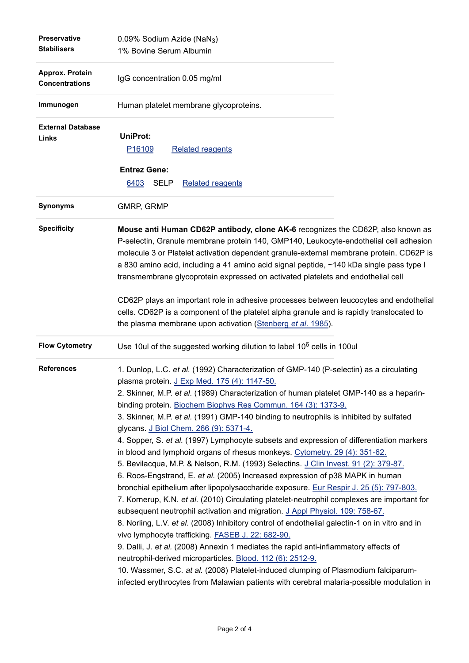| <b>Preservative</b><br><b>Stabilisers</b> | 0.09% Sodium Azide (NaN <sub>3</sub> )<br>1% Bovine Serum Albumin                                                                                                                                                                                                                                                                                                                                                                                                                                                                                                                                                                                                                                                                                                                                                                                                                                                                                                                                                                                                                                                                                                                                                                                                                                                                                                                                                                                                                                                                                                   |  |
|-------------------------------------------|---------------------------------------------------------------------------------------------------------------------------------------------------------------------------------------------------------------------------------------------------------------------------------------------------------------------------------------------------------------------------------------------------------------------------------------------------------------------------------------------------------------------------------------------------------------------------------------------------------------------------------------------------------------------------------------------------------------------------------------------------------------------------------------------------------------------------------------------------------------------------------------------------------------------------------------------------------------------------------------------------------------------------------------------------------------------------------------------------------------------------------------------------------------------------------------------------------------------------------------------------------------------------------------------------------------------------------------------------------------------------------------------------------------------------------------------------------------------------------------------------------------------------------------------------------------------|--|
| Approx. Protein<br><b>Concentrations</b>  | IgG concentration 0.05 mg/ml                                                                                                                                                                                                                                                                                                                                                                                                                                                                                                                                                                                                                                                                                                                                                                                                                                                                                                                                                                                                                                                                                                                                                                                                                                                                                                                                                                                                                                                                                                                                        |  |
| Immunogen                                 | Human platelet membrane glycoproteins.                                                                                                                                                                                                                                                                                                                                                                                                                                                                                                                                                                                                                                                                                                                                                                                                                                                                                                                                                                                                                                                                                                                                                                                                                                                                                                                                                                                                                                                                                                                              |  |
| <b>External Database</b><br><b>Links</b>  | <b>UniProt:</b><br><b>Related reagents</b><br>P <sub>16109</sub><br><b>Entrez Gene:</b>                                                                                                                                                                                                                                                                                                                                                                                                                                                                                                                                                                                                                                                                                                                                                                                                                                                                                                                                                                                                                                                                                                                                                                                                                                                                                                                                                                                                                                                                             |  |
|                                           | 6403<br>SELP<br><b>Related reagents</b>                                                                                                                                                                                                                                                                                                                                                                                                                                                                                                                                                                                                                                                                                                                                                                                                                                                                                                                                                                                                                                                                                                                                                                                                                                                                                                                                                                                                                                                                                                                             |  |
| <b>Synonyms</b>                           | GMRP, GRMP                                                                                                                                                                                                                                                                                                                                                                                                                                                                                                                                                                                                                                                                                                                                                                                                                                                                                                                                                                                                                                                                                                                                                                                                                                                                                                                                                                                                                                                                                                                                                          |  |
| <b>Specificity</b>                        | Mouse anti Human CD62P antibody, clone AK-6 recognizes the CD62P, also known as<br>P-selectin, Granule membrane protein 140, GMP140, Leukocyte-endothelial cell adhesion<br>molecule 3 or Platelet activation dependent granule-external membrane protein. CD62P is<br>a 830 amino acid, including a 41 amino acid signal peptide, ~140 kDa single pass type I<br>transmembrane glycoprotein expressed on activated platelets and endothelial cell                                                                                                                                                                                                                                                                                                                                                                                                                                                                                                                                                                                                                                                                                                                                                                                                                                                                                                                                                                                                                                                                                                                  |  |
|                                           | CD62P plays an important role in adhesive processes between leucocytes and endothelial<br>cells. CD62P is a component of the platelet alpha granule and is rapidly translocated to<br>the plasma membrane upon activation (Stenberg et al. 1985).                                                                                                                                                                                                                                                                                                                                                                                                                                                                                                                                                                                                                                                                                                                                                                                                                                                                                                                                                                                                                                                                                                                                                                                                                                                                                                                   |  |
| <b>Flow Cytometry</b>                     | Use 10ul of the suggested working dilution to label 10 <sup>6</sup> cells in 100ul                                                                                                                                                                                                                                                                                                                                                                                                                                                                                                                                                                                                                                                                                                                                                                                                                                                                                                                                                                                                                                                                                                                                                                                                                                                                                                                                                                                                                                                                                  |  |
| <b>References</b>                         | 1. Dunlop, L.C. et al. (1992) Characterization of GMP-140 (P-selectin) as a circulating<br>plasma protein. J Exp Med. 175 (4): 1147-50.<br>2. Skinner, M.P. et al. (1989) Characterization of human platelet GMP-140 as a heparin-<br>binding protein. Biochem Biophys Res Commun. 164 (3): 1373-9.<br>3. Skinner, M.P. et al. (1991) GMP-140 binding to neutrophils is inhibited by sulfated<br>glycans. J Biol Chem. 266 (9): 5371-4.<br>4. Sopper, S. et al. (1997) Lymphocyte subsets and expression of differentiation markers<br>in blood and lymphoid organs of rhesus monkeys. Cytometry. 29 (4): 351-62.<br>5. Bevilacqua, M.P. & Nelson, R.M. (1993) Selectins. J Clin Invest. 91 (2): 379-87.<br>6. Roos-Engstrand, E. et al. (2005) Increased expression of p38 MAPK in human<br>bronchial epithelium after lipopolysaccharide exposure. Eur Respir J. 25 (5): 797-803.<br>7. Kornerup, K.N. et al. (2010) Circulating platelet-neutrophil complexes are important for<br>subsequent neutrophil activation and migration. J Appl Physiol. 109: 758-67.<br>8. Norling, L.V. et al. (2008) Inhibitory control of endothelial galectin-1 on in vitro and in<br>vivo lymphocyte trafficking. FASEB J. 22: 682-90.<br>9. Dalli, J. et al. (2008) Annexin 1 mediates the rapid anti-inflammatory effects of<br>neutrophil-derived microparticles. Blood. 112 (6): 2512-9.<br>10. Wassmer, S.C. at al. (2008) Platelet-induced clumping of Plasmodium falciparum-<br>infected erythrocytes from Malawian patients with cerebral malaria-possible modulation in |  |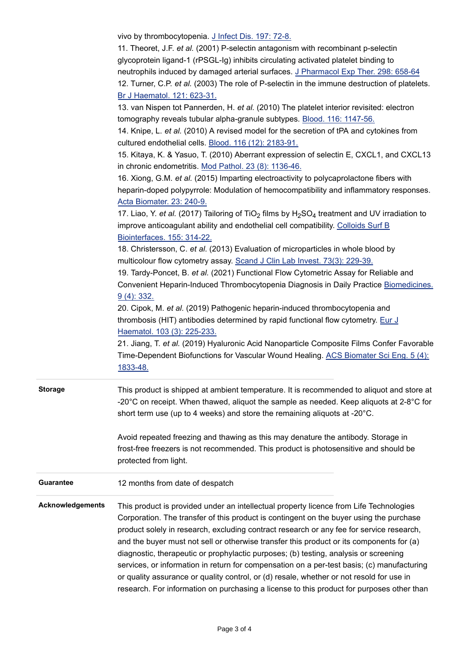|                         | vivo by thrombocytopenia. J Infect Dis. 197: 72-8.<br>11. Theoret, J.F. et al. (2001) P-selectin antagonism with recombinant p-selectin<br>glycoprotein ligand-1 (rPSGL-Ig) inhibits circulating activated platelet binding to<br>neutrophils induced by damaged arterial surfaces. J Pharmacol Exp Ther. 298: 658-64<br>12. Turner, C.P. et al. (2003) The role of P-selectin in the immune destruction of platelets.                                                                                                                                                                                                                                                                                                                                   |
|-------------------------|----------------------------------------------------------------------------------------------------------------------------------------------------------------------------------------------------------------------------------------------------------------------------------------------------------------------------------------------------------------------------------------------------------------------------------------------------------------------------------------------------------------------------------------------------------------------------------------------------------------------------------------------------------------------------------------------------------------------------------------------------------|
|                         | Br J Haematol. 121: 623-31.<br>13. van Nispen tot Pannerden, H. et al. (2010) The platelet interior revisited: electron<br>tomography reveals tubular alpha-granule subtypes. Blood. 116: 1147-56.                                                                                                                                                                                                                                                                                                                                                                                                                                                                                                                                                       |
|                         | 14. Knipe, L. et al. (2010) A revised model for the secretion of tPA and cytokines from<br>cultured endothelial cells. Blood. 116 (12): 2183-91.                                                                                                                                                                                                                                                                                                                                                                                                                                                                                                                                                                                                         |
|                         | 15. Kitaya, K. & Yasuo, T. (2010) Aberrant expression of selectin E, CXCL1, and CXCL13<br>in chronic endometritis. Mod Pathol. 23 (8): 1136-46.                                                                                                                                                                                                                                                                                                                                                                                                                                                                                                                                                                                                          |
|                         | 16. Xiong, G.M. et al. (2015) Imparting electroactivity to polycaprolactone fibers with<br>heparin-doped polypyrrole: Modulation of hemocompatibility and inflammatory responses.<br>Acta Biomater. 23: 240-9.                                                                                                                                                                                                                                                                                                                                                                                                                                                                                                                                           |
|                         | 17. Liao, Y. et al. (2017) Tailoring of TiO <sub>2</sub> films by H <sub>2</sub> SO <sub>4</sub> treatment and UV irradiation to<br>improve anticoagulant ability and endothelial cell compatibility. Colloids Surf B<br>Biointerfaces. 155: 314-22.                                                                                                                                                                                                                                                                                                                                                                                                                                                                                                     |
|                         | 18. Christersson, C. et al. (2013) Evaluation of microparticles in whole blood by                                                                                                                                                                                                                                                                                                                                                                                                                                                                                                                                                                                                                                                                        |
|                         | multicolour flow cytometry assay. Scand J Clin Lab Invest. 73(3): 229-39.                                                                                                                                                                                                                                                                                                                                                                                                                                                                                                                                                                                                                                                                                |
|                         | 19. Tardy-Poncet, B. et al. (2021) Functional Flow Cytometric Assay for Reliable and<br>Convenient Heparin-Induced Thrombocytopenia Diagnosis in Daily Practice Biomedicines.<br>9(4): 332.                                                                                                                                                                                                                                                                                                                                                                                                                                                                                                                                                              |
|                         | 20. Cipok, M. et al. (2019) Pathogenic heparin-induced thrombocytopenia and<br>thrombosis (HIT) antibodies determined by rapid functional flow cytometry. Eur J<br>Haematol. 103 (3): 225-233.                                                                                                                                                                                                                                                                                                                                                                                                                                                                                                                                                           |
|                         | 21. Jiang, T. et al. (2019) Hyaluronic Acid Nanoparticle Composite Films Confer Favorable<br>Time-Dependent Biofunctions for Vascular Wound Healing. ACS Biomater Sci Eng. 5 (4):<br>1833-48.                                                                                                                                                                                                                                                                                                                                                                                                                                                                                                                                                            |
| <b>Storage</b>          | This product is shipped at ambient temperature. It is recommended to aliquot and store at<br>-20 $^{\circ}$ C on receipt. When thawed, aliquot the sample as needed. Keep aliquots at 2-8 $^{\circ}$ C for<br>short term use (up to 4 weeks) and store the remaining aliquots at -20°C.                                                                                                                                                                                                                                                                                                                                                                                                                                                                  |
|                         | Avoid repeated freezing and thawing as this may denature the antibody. Storage in<br>frost-free freezers is not recommended. This product is photosensitive and should be<br>protected from light.                                                                                                                                                                                                                                                                                                                                                                                                                                                                                                                                                       |
| <b>Guarantee</b>        | 12 months from date of despatch                                                                                                                                                                                                                                                                                                                                                                                                                                                                                                                                                                                                                                                                                                                          |
| <b>Acknowledgements</b> | This product is provided under an intellectual property licence from Life Technologies<br>Corporation. The transfer of this product is contingent on the buyer using the purchase<br>product solely in research, excluding contract research or any fee for service research,<br>and the buyer must not sell or otherwise transfer this product or its components for (a)<br>diagnostic, therapeutic or prophylactic purposes; (b) testing, analysis or screening<br>services, or information in return for compensation on a per-test basis; (c) manufacturing<br>or quality assurance or quality control, or (d) resale, whether or not resold for use in<br>research. For information on purchasing a license to this product for purposes other than |